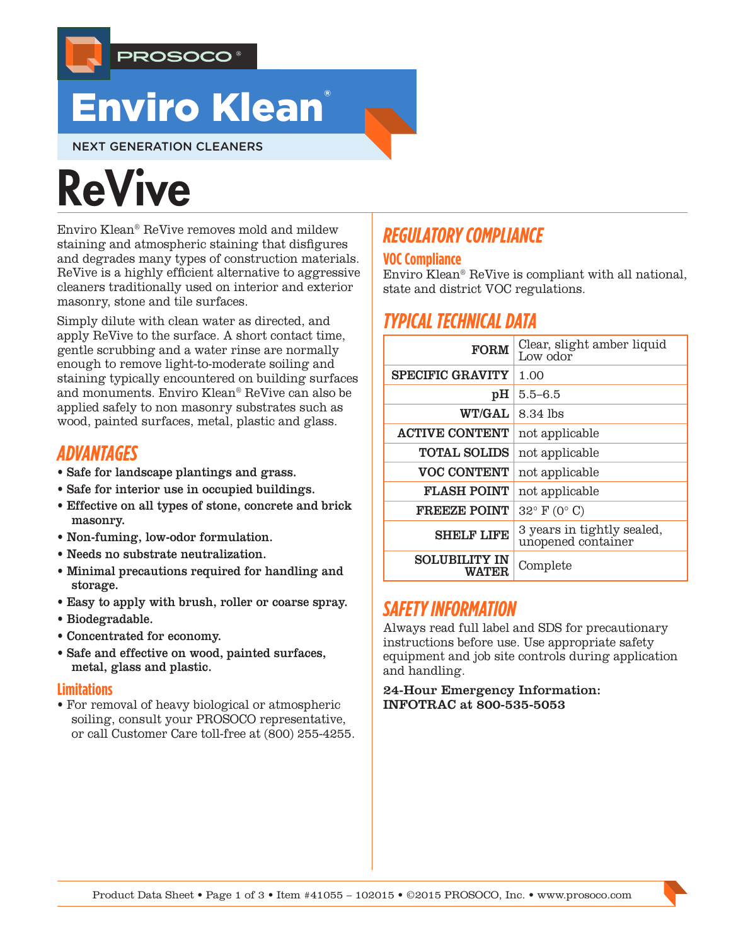

## Enviro Klean®

NEXT GENERATION CLEANERS

# **ReVive**

Enviro Klean® ReVive removes mold and mildew staining and atmospheric staining that disfigures and degrades many types of construction materials. ReVive is a highly efficient alternative to aggressive cleaners traditionally used on interior and exterior masonry, stone and tile surfaces.

Simply dilute with clean water as directed, and apply ReVive to the surface. A short contact time, gentle scrubbing and a water rinse are normally enough to remove light-to-moderate soiling and staining typically encountered on building surfaces and monuments. Enviro Klean® ReVive can also be applied safely to non masonry substrates such as wood, painted surfaces, metal, plastic and glass.

## *ADVANTAGES*

- Safe for landscape plantings and grass.
- Safe for interior use in occupied buildings.
- Effective on all types of stone, concrete and brick masonry.
- Non-fuming, low-odor formulation.
- Needs no substrate neutralization.
- Minimal precautions required for handling and storage.
- Easy to apply with brush, roller or coarse spray.
- Biodegradable.
- Concentrated for economy.
- Safe and effective on wood, painted surfaces, metal, glass and plastic.

#### **Limitations**

• For removal of heavy biological or atmospheric soiling, consult your PROSOCO representative, or call Customer Care toll-free at (800) 255-4255.

## *REGULATORY COMPLIANCE*

#### **VOC Compliance**

Enviro Klean® ReVive is compliant with all national, state and district VOC regulations.

## *TYPICAL TECHNICAL DATA*

| <b>FORM</b>                          | Clear, slight amber liquid<br>Low odor           |
|--------------------------------------|--------------------------------------------------|
| <b>SPECIFIC GRAVITY</b>              | 1.00                                             |
| pH                                   | $5.5 - 6.5$                                      |
| <b>WT/GAL</b>                        | 8.34 lbs                                         |
| <b>ACTIVE CONTENT</b>                | not applicable                                   |
| <b>TOTAL SOLIDS</b>                  | not applicable                                   |
| <b>VOC CONTENT</b>                   | not applicable                                   |
| <b>FLASH POINT</b>                   | not applicable                                   |
| <b>FREEZE POINT</b>                  | $32^{\circ}$ F (0° C)                            |
| <b>SHELF LIFE</b>                    | 3 years in tightly sealed,<br>unopened container |
| <b>SOLUBILITY IN</b><br><b>WATER</b> | Complete                                         |

## *SAFETY INFORMATION*

Always read full label and SDS for precautionary instructions before use. Use appropriate safety equipment and job site controls during application and handling.

24-Hour Emergency Information: INFOTRAC at 800-535-5053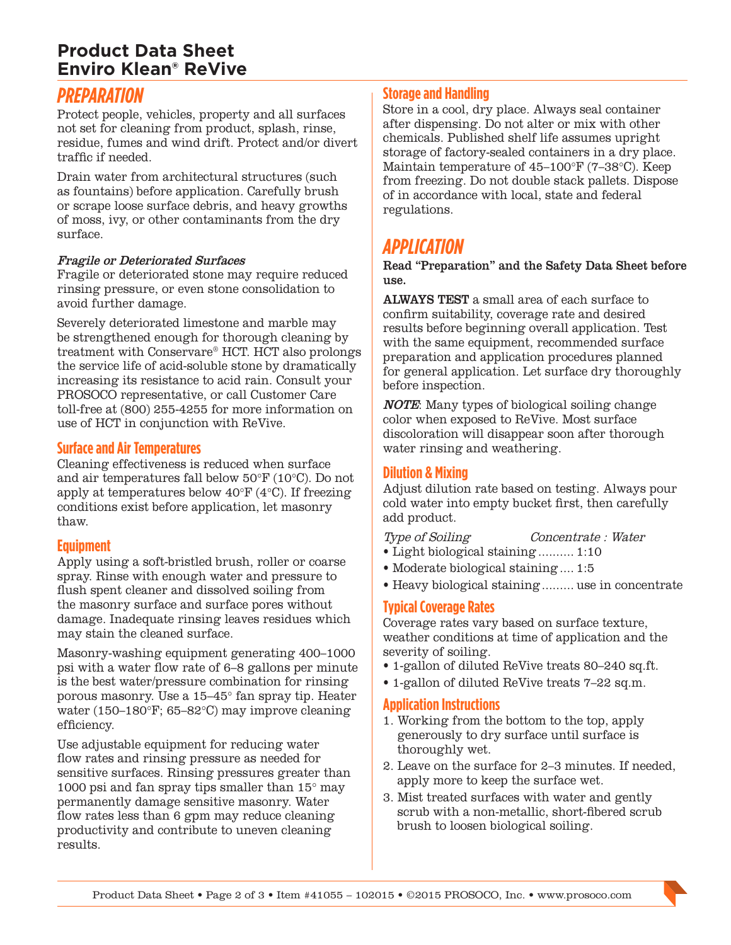## **Product Data Sheet Enviro Klean® ReVive**

## *PREPARATION*

Protect people, vehicles, property and all surfaces not set for cleaning from product, splash, rinse, residue, fumes and wind drift. Protect and/or divert traffic if needed.

Drain water from architectural structures (such as fountains) before application. Carefully brush or scrape loose surface debris, and heavy growths of moss, ivy, or other contaminants from the dry surface.

#### Fragile or Deteriorated Surfaces

Fragile or deteriorated stone may require reduced rinsing pressure, or even stone consolidation to avoid further damage.

Severely deteriorated limestone and marble may be strengthened enough for thorough cleaning by treatment with Conservare® HCT. HCT also prolongs the service life of acid-soluble stone by dramatically increasing its resistance to acid rain. Consult your PROSOCO representative, or call Customer Care toll-free at (800) 255-4255 for more information on use of HCT in conjunction with ReVive.

#### **Surface and Air Temperatures**

Cleaning effectiveness is reduced when surface and air temperatures fall below 50°F (10°C). Do not apply at temperatures below 40°F (4°C). If freezing conditions exist before application, let masonry thaw.

#### **Equipment**

Apply using a soft-bristled brush, roller or coarse spray. Rinse with enough water and pressure to flush spent cleaner and dissolved soiling from the masonry surface and surface pores without damage. Inadequate rinsing leaves residues which may stain the cleaned surface.

Masonry-washing equipment generating 400–1000 psi with a water flow rate of 6–8 gallons per minute is the best water/pressure combination for rinsing porous masonry. Use a 15–45° fan spray tip. Heater water (150–180°F; 65–82°C) may improve cleaning efficiency.

Use adjustable equipment for reducing water flow rates and rinsing pressure as needed for sensitive surfaces. Rinsing pressures greater than 1000 psi and fan spray tips smaller than 15° may permanently damage sensitive masonry. Water flow rates less than 6 gpm may reduce cleaning productivity and contribute to uneven cleaning results.

#### **Storage and Handling**

Store in a cool, dry place. Always seal container after dispensing. Do not alter or mix with other chemicals. Published shelf life assumes upright storage of factory-sealed containers in a dry place. Maintain temperature of 45–100°F (7–38°C). Keep from freezing. Do not double stack pallets. Dispose of in accordance with local, state and federal regulations.

## *APPLICATION*

Read "Preparation" and the Safety Data Sheet before use.

ALWAYS TEST a small area of each surface to confirm suitability, coverage rate and desired results before beginning overall application. Test with the same equipment, recommended surface preparation and application procedures planned for general application. Let surface dry thoroughly before inspection.

NOTE: Many types of biological soiling change color when exposed to ReVive. Most surface discoloration will disappear soon after thorough water rinsing and weathering.

#### **Dilution & Mixing**

Adjust dilution rate based on testing. Always pour cold water into empty bucket first, then carefully add product.

- Light biological staining.......... 1:10
- Moderate biological staining.... 1:5
- Heavy biological staining......... use in concentrate

#### **Typical Coverage Rates**

Coverage rates vary based on surface texture, weather conditions at time of application and the severity of soiling.

- 1-gallon of diluted ReVive treats 80–240 sq.ft.
- 1-gallon of diluted ReVive treats 7–22 sq.m.

#### **Application Instructions**

- 1. Working from the bottom to the top, apply generously to dry surface until surface is thoroughly wet.
- 2. Leave on the surface for 2–3 minutes. If needed, apply more to keep the surface wet.
- 3. Mist treated surfaces with water and gently scrub with a non-metallic, short-fibered scrub brush to loosen biological soiling.